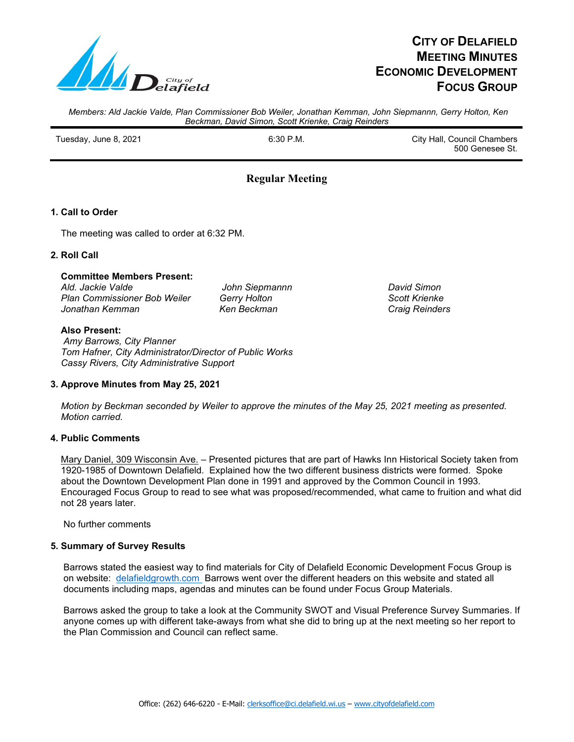

# **CITY OF DELAFIELD MEETING MINUTES ECONOMIC DEVELOPMENT FOCUS GROUP**

*Members: Ald Jackie Valde, Plan Commissioner Bob Weiler, Jonathan Kemman, John Siepmannn, Gerry Holton, Ken Beckman, David Simon, Scott Krienke, Craig Reinders*

Tuesday, June 8, 2021 **Fig. 2008** City Hall, Council Chambers City Hall, Council Chambers 500 Genesee St.

## **Regular Meeting**

## **1. Call to Order**

The meeting was called to order at 6:32 PM.

## **2. Roll Call**

#### **Committee Members Present:**

 *Ald. Jackie Valde John Siepmannn David Simon Plan Commissioner Bob Weiler Gerry Holton Scott Krienke*  $J$ onathan Kemman

#### **Also Present:**

 *Amy Barrows, City Planner Tom Hafner, City Administrator/Director of Public Works Cassy Rivers, City Administrative Support*

## **3. Approve Minutes from May 25, 2021**

 *Motion by Beckman seconded by Weiler to approve the minutes of the May 25, 2021 meeting as presented. Motion carried.*

## **4. Public Comments**

Mary Daniel, 309 Wisconsin Ave. - Presented pictures that are part of Hawks Inn Historical Society taken from 1920-1985 of Downtown Delafield. Explained how the two different business districts were formed. Spoke about the Downtown Development Plan done in 1991 and approved by the Common Council in 1993. Encouraged Focus Group to read to see what was proposed/recommended, what came to fruition and what did not 28 years later.

No further comments

#### **5. Summary of Survey Results**

Barrows stated the easiest way to find materials for City of Delafield Economic Development Focus Group is on website: delafieldgrowth.com Barrows went over the different headers on this website and stated all documents including maps, agendas and minutes can be found under Focus Group Materials.

 Barrows asked the group to take a look at the Community SWOT and Visual Preference Survey Summaries. If anyone comes up with different take-aways from what she did to bring up at the next meeting so her report to the Plan Commission and Council can reflect same.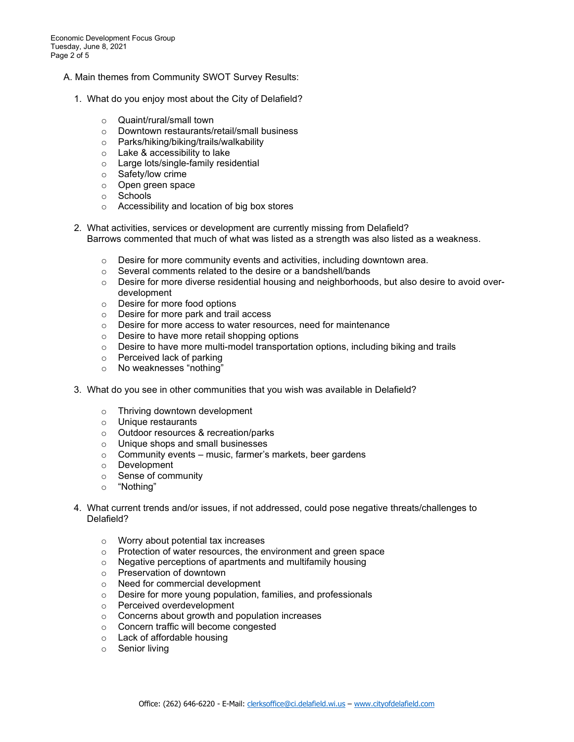- A. Main themes from Community SWOT Survey Results:
	- 1. What do you enjoy most about the City of Delafield?
		- o Quaint/rural/small town
		- o Downtown restaurants/retail/small business
		- o Parks/hiking/biking/trails/walkability
		- o Lake & accessibility to lake
		- o Large lots/single-family residential
		- o Safety/low crime
		- o Open green space
		- o Schools
		- o Accessibility and location of big box stores
	- 2. What activities, services or development are currently missing from Delafield? Barrows commented that much of what was listed as a strength was also listed as a weakness.
		- $\circ$  Desire for more community events and activities, including downtown area.
		- o Several comments related to the desire or a bandshell/bands
		- $\circ$  Desire for more diverse residential housing and neighborhoods, but also desire to avoid overdevelopment
		- o Desire for more food options
		- o Desire for more park and trail access
		- o Desire for more access to water resources, need for maintenance
		- o Desire to have more retail shopping options
		- $\circ$  Desire to have more multi-model transportation options, including biking and trails
		- o Perceived lack of parking
		- o No weaknesses "nothing"
	- 3. What do you see in other communities that you wish was available in Delafield?
		- o Thriving downtown development
		- o Unique restaurants
		- o Outdoor resources & recreation/parks
		- o Unique shops and small businesses
		- $\circ$  Community events music, farmer's markets, beer gardens
		- o Development
		- o Sense of community
		- o "Nothing"
	- 4. What current trends and/or issues, if not addressed, could pose negative threats/challenges to Delafield?
		- o Worry about potential tax increases
		- o Protection of water resources, the environment and green space
		- o Negative perceptions of apartments and multifamily housing
		- o Preservation of downtown
		- o Need for commercial development
		- o Desire for more young population, families, and professionals
		- o Perceived overdevelopment
		- o Concerns about growth and population increases
		- o Concern traffic will become congested
		- o Lack of affordable housing
		- o Senior living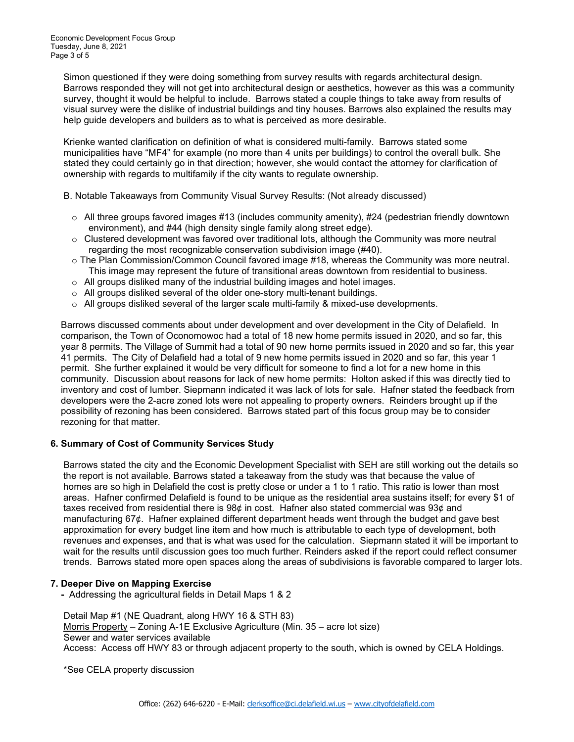Simon questioned if they were doing something from survey results with regards architectural design. Barrows responded they will not get into architectural design or aesthetics, however as this was a community survey, thought it would be helpful to include. Barrows stated a couple things to take away from results of visual survey were the dislike of industrial buildings and tiny houses. Barrows also explained the results may help guide developers and builders as to what is perceived as more desirable.

 Krienke wanted clarification on definition of what is considered multi-family. Barrows stated some municipalities have "MF4" for example (no more than 4 units per buildings) to control the overall bulk. She stated they could certainly go in that direction; however, she would contact the attorney for clarification of ownership with regards to multifamily if the city wants to regulate ownership.

B. Notable Takeaways from Community Visual Survey Results: (Not already discussed)

- $\circ$  All three groups favored images #13 (includes community amenity), #24 (pedestrian friendly downtown environment), and #44 (high density single family along street edge).
- $\circ$  Clustered development was favored over traditional lots, although the Community was more neutral regarding the most recognizable conservation subdivision image (#40).
- o The Plan Commission/Common Council favored image #18, whereas the Community was more neutral. This image may represent the future of transitional areas downtown from residential to business.
- $\circ$  All groups disliked many of the industrial building images and hotel images.
- $\circ$  All groups disliked several of the older one-story multi-tenant buildings.
- $\circ$  All groups disliked several of the larger scale multi-family & mixed-use developments.

 Barrows discussed comments about under development and over development in the City of Delafield. In comparison, the Town of Oconomowoc had a total of 18 new home permits issued in 2020, and so far, this year 8 permits. The Village of Summit had a total of 90 new home permits issued in 2020 and so far, this year 41 permits. The City of Delafield had a total of 9 new home permits issued in 2020 and so far, this year 1 permit. She further explained it would be very difficult for someone to find a lot for a new home in this community. Discussion about reasons for lack of new home permits: Holton asked if this was directly tied to inventory and cost of lumber. Siepmann indicated it was lack of lots for sale. Hafner stated the feedback from developers were the 2-acre zoned lots were not appealing to property owners. Reinders brought up if the possibility of rezoning has been considered. Barrows stated part of this focus group may be to consider rezoning for that matter.

## **6. Summary of Cost of Community Services Study**

 Barrows stated the city and the Economic Development Specialist with SEH are still working out the details so the report is not available. Barrows stated a takeaway from the study was that because the value of homes are so high in Delafield the cost is pretty close or under a 1 to 1 ratio. This ratio is lower than most areas. Hafner confirmed Delafield is found to be unique as the residential area sustains itself; for every \$1 of taxes received from residential there is 98¢ in cost. Hafner also stated commercial was 93¢ and manufacturing 67¢. Hafner explained different department heads went through the budget and gave best approximation for every budget line item and how much is attributable to each type of development, both revenues and expenses, and that is what was used for the calculation. Siepmann stated it will be important to wait for the results until discussion goes too much further. Reinders asked if the report could reflect consumer trends. Barrows stated more open spaces along the areas of subdivisions is favorable compared to larger lots.

#### **7. Deeper Dive on Mapping Exercise**

 **-** Addressing the agricultural fields in Detail Maps 1 & 2

 Detail Map #1 (NE Quadrant, along HWY 16 & STH 83) Morris Property – Zoning A-1E Exclusive Agriculture (Min. 35 – acre lot size) Sewer and water services available Access: Access off HWY 83 or through adjacent property to the south, which is owned by CELA Holdings.

\*See CELA property discussion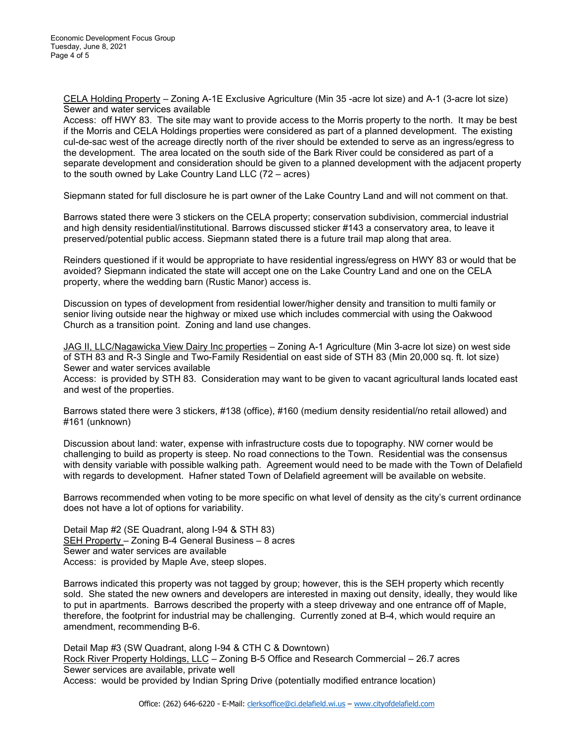CELA Holding Property – Zoning A-1E Exclusive Agriculture (Min 35 -acre lot size) and A-1 (3-acre lot size) Sewer and water services available

 Access: off HWY 83. The site may want to provide access to the Morris property to the north. It may be best if the Morris and CELA Holdings properties were considered as part of a planned development. The existing cul-de-sac west of the acreage directly north of the river should be extended to serve as an ingress/egress to the development. The area located on the south side of the Bark River could be considered as part of a separate development and consideration should be given to a planned development with the adjacent property to the south owned by Lake Country Land LLC (72 – acres)

Siepmann stated for full disclosure he is part owner of the Lake Country Land and will not comment on that.

 Barrows stated there were 3 stickers on the CELA property; conservation subdivision, commercial industrial and high density residential/institutional. Barrows discussed sticker #143 a conservatory area, to leave it preserved/potential public access. Siepmann stated there is a future trail map along that area.

 Reinders questioned if it would be appropriate to have residential ingress/egress on HWY 83 or would that be avoided? Siepmann indicated the state will accept one on the Lake Country Land and one on the CELA property, where the wedding barn (Rustic Manor) access is.

 Discussion on types of development from residential lower/higher density and transition to multi family or senior living outside near the highway or mixed use which includes commercial with using the Oakwood Church as a transition point. Zoning and land use changes.

JAG II, LLC/Nagawicka View Dairy Inc properties - Zoning A-1 Agriculture (Min 3-acre lot size) on west side of STH 83 and R-3 Single and Two-Family Residential on east side of STH 83 (Min 20,000 sq. ft. lot size) Sewer and water services available

 Access: is provided by STH 83. Consideration may want to be given to vacant agricultural lands located east and west of the properties.

 Barrows stated there were 3 stickers, #138 (office), #160 (medium density residential/no retail allowed) and #161 (unknown)

 Discussion about land: water, expense with infrastructure costs due to topography. NW corner would be challenging to build as property is steep. No road connections to the Town. Residential was the consensus with density variable with possible walking path. Agreement would need to be made with the Town of Delafield with regards to development. Hafner stated Town of Delafield agreement will be available on website.

 Barrows recommended when voting to be more specific on what level of density as the city's current ordinance does not have a lot of options for variability.

 Detail Map #2 (SE Quadrant, along I-94 & STH 83) SEH Property – Zoning B-4 General Business – 8 acres Sewer and water services are available Access: is provided by Maple Ave, steep slopes.

 Barrows indicated this property was not tagged by group; however, this is the SEH property which recently sold. She stated the new owners and developers are interested in maxing out density, ideally, they would like to put in apartments. Barrows described the property with a steep driveway and one entrance off of Maple, therefore, the footprint for industrial may be challenging. Currently zoned at B-4, which would require an amendment, recommending B-6.

 Detail Map #3 (SW Quadrant, along I-94 & CTH C & Downtown) Rock River Property Holdings, LLC – Zoning B-5 Office and Research Commercial – 26.7 acres Sewer services are available, private well Access: would be provided by Indian Spring Drive (potentially modified entrance location)